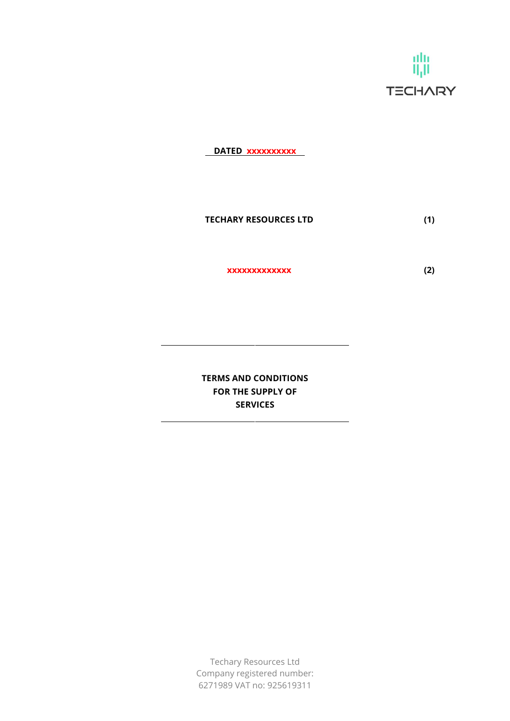

DATED xxxxxxxxxx

TECHARY RESOURCES LTD (1)

xxxxxxxxxxxxx (2)

TERMS AND CONDITIONS FOR THE SUPPLY OF SERVICES

Techary Resources Ltd Company registered number: 6271989 VAT no: 925619311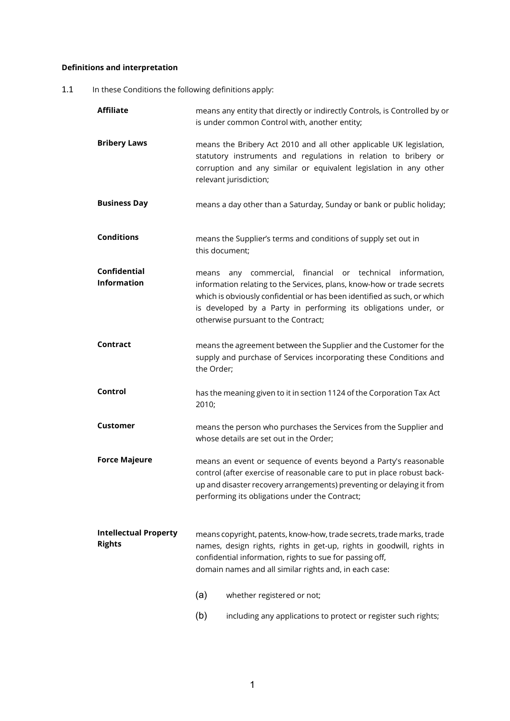# Definitions and interpretation

1.1 In these Conditions the following definitions apply:

| <b>Affiliate</b>                              | means any entity that directly or indirectly Controls, is Controlled by or<br>is under common Control with, another entity;                                                                                                                                            |                                                                                                                                                                                                                                                                                                                     |  |
|-----------------------------------------------|------------------------------------------------------------------------------------------------------------------------------------------------------------------------------------------------------------------------------------------------------------------------|---------------------------------------------------------------------------------------------------------------------------------------------------------------------------------------------------------------------------------------------------------------------------------------------------------------------|--|
| <b>Bribery Laws</b>                           | means the Bribery Act 2010 and all other applicable UK legislation,<br>statutory instruments and regulations in relation to bribery or<br>corruption and any similar or equivalent legislation in any other<br>relevant jurisdiction;                                  |                                                                                                                                                                                                                                                                                                                     |  |
| <b>Business Day</b>                           |                                                                                                                                                                                                                                                                        | means a day other than a Saturday, Sunday or bank or public holiday;                                                                                                                                                                                                                                                |  |
| <b>Conditions</b>                             | this document;                                                                                                                                                                                                                                                         | means the Supplier's terms and conditions of supply set out in                                                                                                                                                                                                                                                      |  |
| <b>Confidential</b><br><b>Information</b>     | means                                                                                                                                                                                                                                                                  | any commercial, financial or technical information,<br>information relating to the Services, plans, know-how or trade secrets<br>which is obviously confidential or has been identified as such, or which<br>is developed by a Party in performing its obligations under, or<br>otherwise pursuant to the Contract; |  |
| Contract                                      | means the agreement between the Supplier and the Customer for the<br>supply and purchase of Services incorporating these Conditions and<br>the Order;                                                                                                                  |                                                                                                                                                                                                                                                                                                                     |  |
| Control                                       | has the meaning given to it in section 1124 of the Corporation Tax Act<br>2010;                                                                                                                                                                                        |                                                                                                                                                                                                                                                                                                                     |  |
| <b>Customer</b>                               | means the person who purchases the Services from the Supplier and<br>whose details are set out in the Order;                                                                                                                                                           |                                                                                                                                                                                                                                                                                                                     |  |
| <b>Force Majeure</b>                          | means an event or sequence of events beyond a Party's reasonable<br>control (after exercise of reasonable care to put in place robust back-<br>up and disaster recovery arrangements) preventing or delaying it from<br>performing its obligations under the Contract; |                                                                                                                                                                                                                                                                                                                     |  |
| <b>Intellectual Property</b><br><b>Rights</b> |                                                                                                                                                                                                                                                                        | means copyright, patents, know-how, trade secrets, trade marks, trade<br>names, design rights, rights in get-up, rights in goodwill, rights in<br>confidential information, rights to sue for passing off,<br>domain names and all similar rights and, in each case:                                                |  |
|                                               | (a)                                                                                                                                                                                                                                                                    | whether registered or not;                                                                                                                                                                                                                                                                                          |  |
|                                               | (b)                                                                                                                                                                                                                                                                    | including any applications to protect or register such rights;                                                                                                                                                                                                                                                      |  |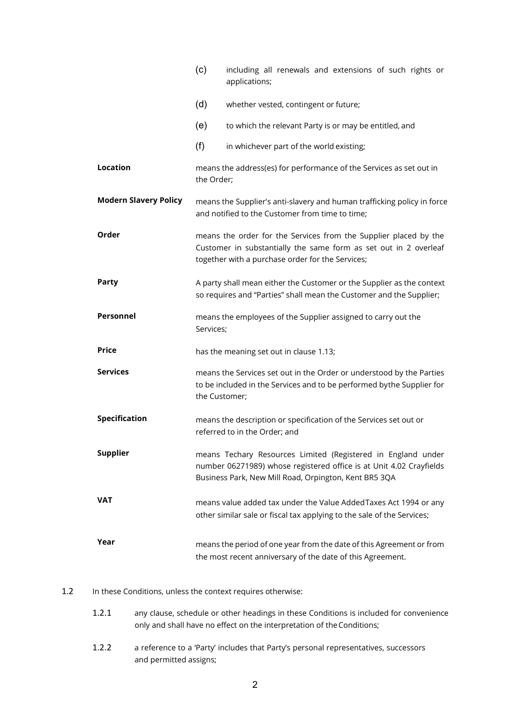|                              | (c)                                                                                                                                                                                          | including all renewals and extensions of such rights or<br>applications; |  |
|------------------------------|----------------------------------------------------------------------------------------------------------------------------------------------------------------------------------------------|--------------------------------------------------------------------------|--|
|                              | (d)                                                                                                                                                                                          | whether vested, contingent or future;                                    |  |
|                              | (e)                                                                                                                                                                                          | to which the relevant Party is or may be entitled, and                   |  |
|                              | (f)                                                                                                                                                                                          | in whichever part of the world existing;                                 |  |
| <b>Location</b>              | means the address(es) for performance of the Services as set out in<br>the Order;                                                                                                            |                                                                          |  |
| <b>Modern Slavery Policy</b> | means the Supplier's anti-slavery and human trafficking policy in force<br>and notified to the Customer from time to time;                                                                   |                                                                          |  |
| Order                        | means the order for the Services from the Supplier placed by the<br>Customer in substantially the same form as set out in 2 overleaf<br>together with a purchase order for the Services;     |                                                                          |  |
| <b>Party</b>                 | A party shall mean either the Customer or the Supplier as the context<br>so requires and "Parties" shall mean the Customer and the Supplier;                                                 |                                                                          |  |
| <b>Personnel</b>             | means the employees of the Supplier assigned to carry out the<br>Services;                                                                                                                   |                                                                          |  |
| <b>Price</b>                 | has the meaning set out in clause 1.13;                                                                                                                                                      |                                                                          |  |
| <b>Services</b>              | means the Services set out in the Order or understood by the Parties<br>to be included in the Services and to be performed bythe Supplier for<br>the Customer;                               |                                                                          |  |
| <b>Specification</b>         | means the description or specification of the Services set out or<br>referred to in the Order; and                                                                                           |                                                                          |  |
| <b>Supplier</b>              | means Techary Resources Limited (Registered in England under<br>number 06271989) whose registered office is at Unit 4.02 Crayfields<br>Business Park, New Mill Road, Orpington, Kent BR5 3QA |                                                                          |  |
| VAT                          | means value added tax under the Value Added Taxes Act 1994 or any<br>other similar sale or fiscal tax applying to the sale of the Services;                                                  |                                                                          |  |
| Year                         | means the period of one year from the date of this Agreement or from<br>the most recent anniversary of the date of this Agreement.                                                           |                                                                          |  |

## 1.2 In these Conditions, unless the context requires otherwise:

- 1.2.1 any clause, schedule or other headings in these Conditions is included for convenience only and shall have no effect on the interpretation of the Conditions;
- 1.2.2 a reference to a 'Party' includes that Party's personal representatives, successors and permitted assigns;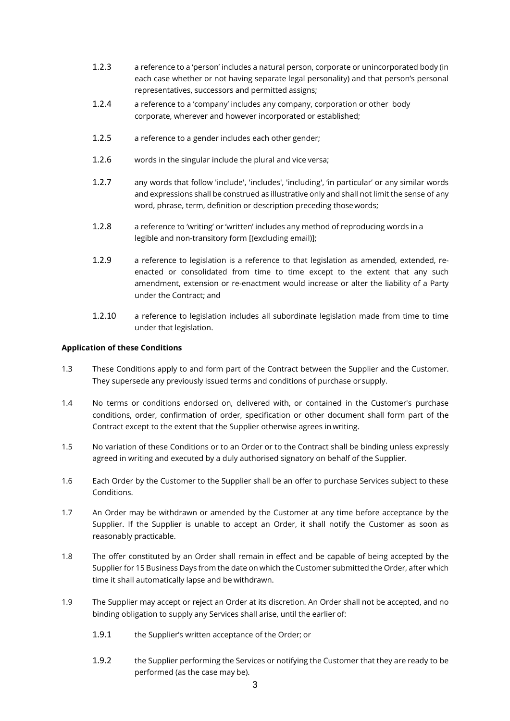- 1.2.3 a reference to a 'person' includes a natural person, corporate or unincorporated body (in each case whether or not having separate legal personality) and that person's personal representatives, successors and permitted assigns;
- 1.2.4 a reference to a 'company' includes any company, corporation or other body corporate, wherever and however incorporated or established;
- 1.2.5 a reference to a gender includes each other gender;
- 1.2.6 words in the singular include the plural and vice versa;
- 1.2.7 any words that follow 'include', 'includes', 'including', 'in particular' or any similar words and expressions shall be construed as illustrative only and shall not limit the sense of any word, phrase, term, definition or description preceding those words;
- 1.2.8 a reference to 'writing' or 'written' includes any method of reproducing words in a legible and non-transitory form [(excluding email)];
- 1.2.9 a reference to legislation is a reference to that legislation as amended, extended, reenacted or consolidated from time to time except to the extent that any such amendment, extension or re-enactment would increase or alter the liability of a Party under the Contract; and
- 1.2.10 a reference to legislation includes all subordinate legislation made from time to time under that legislation.

### Application of these Conditions

- 1.3 These Conditions apply to and form part of the Contract between the Supplier and the Customer. They supersede any previously issued terms and conditions of purchase or supply.
- 1.4 No terms or conditions endorsed on, delivered with, or contained in the Customer's purchase conditions, order, confirmation of order, specification or other document shall form part of the Contract except to the extent that the Supplier otherwise agrees in writing.
- 1.5 No variation of these Conditions or to an Order or to the Contract shall be binding unless expressly agreed in writing and executed by a duly authorised signatory on behalf of the Supplier.
- 1.6 Each Order by the Customer to the Supplier shall be an offer to purchase Services subject to these Conditions.
- 1.7 An Order may be withdrawn or amended by the Customer at any time before acceptance by the Supplier. If the Supplier is unable to accept an Order, it shall notify the Customer as soon as reasonably practicable.
- 1.8 The offer constituted by an Order shall remain in effect and be capable of being accepted by the Supplier for 15 Business Days from the date on which the Customer submitted the Order, after which time it shall automatically lapse and be withdrawn.
- 1.9 The Supplier may accept or reject an Order at its discretion. An Order shall not be accepted, and no binding obligation to supply any Services shall arise, until the earlier of:
	- 1.9.1 the Supplier's written acceptance of the Order; or
	- 1.9.2 the Supplier performing the Services or notifying the Customer that they are ready to be performed (as the case may be).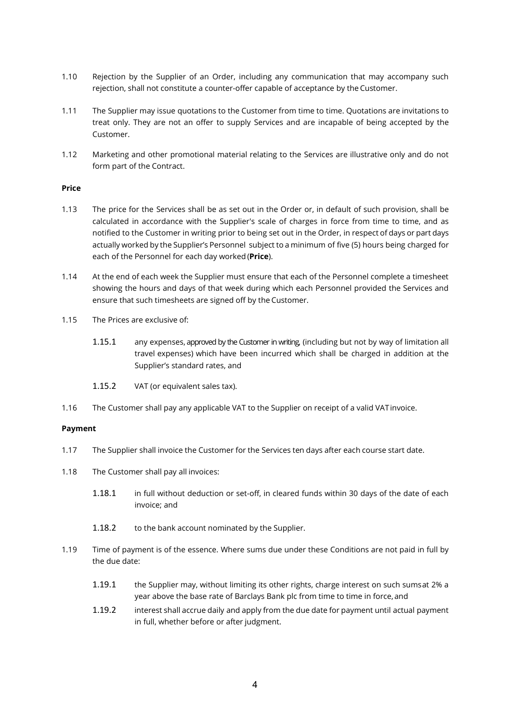- 1.10 Rejection by the Supplier of an Order, including any communication that may accompany such rejection, shall not constitute a counter-offer capable of acceptance by the Customer.
- 1.11 The Supplier may issue quotations to the Customer from time to time. Quotations are invitations to treat only. They are not an offer to supply Services and are incapable of being accepted by the Customer.
- 1.12 Marketing and other promotional material relating to the Services are illustrative only and do not form part of the Contract.

#### Price

- 1.13 The price for the Services shall be as set out in the Order or, in default of such provision, shall be calculated in accordance with the Supplier's scale of charges in force from time to time, and as notified to the Customer in writing prior to being set out in the Order, in respect of days or part days actually worked by the Supplier's Personnel subject to a minimum of five (5) hours being charged for each of the Personnel for each day worked (Price).
- 1.14 At the end of each week the Supplier must ensure that each of the Personnel complete a timesheet showing the hours and days of that week during which each Personnel provided the Services and ensure that such timesheets are signed off by the Customer.
- 1.15 The Prices are exclusive of:
	- 1.15.1 any expenses, approved by the Customer in writing, (including but not by way of limitation all travel expenses) which have been incurred which shall be charged in addition at the Supplier's standard rates, and
	- 1.15.2 VAT (or equivalent sales tax).
- 1.16 The Customer shall pay any applicable VAT to the Supplier on receipt of a valid VAT invoice.

### Payment

- 1.17 The Supplier shall invoice the Customer for the Services ten days after each course start date.
- 1.18 The Customer shall pay all invoices:
	- 1.18.1 in full without deduction or set-off, in cleared funds within 30 days of the date of each invoice; and
	- 1.18.2 to the bank account nominated by the Supplier.
- 1.19 Time of payment is of the essence. Where sums due under these Conditions are not paid in full by the due date:
	- 1.19.1 the Supplier may, without limiting its other rights, charge interest on such sums at 2% a year above the base rate of Barclays Bank plc from time to time in force, and
	- 1.19.2 interest shall accrue daily and apply from the due date for payment until actual payment in full, whether before or after judgment.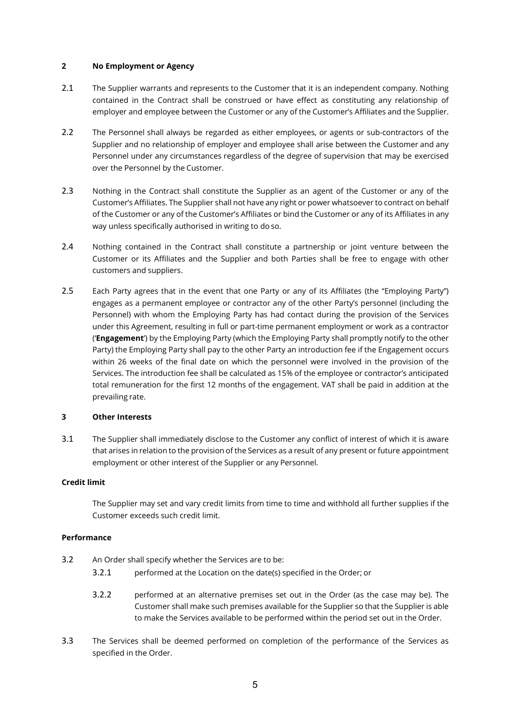### 2 No Employment or Agency

- 2.1 The Supplier warrants and represents to the Customer that it is an independent company. Nothing contained in the Contract shall be construed or have effect as constituting any relationship of employer and employee between the Customer or any of the Customer's Affiliates and the Supplier.
- 2.2 The Personnel shall always be regarded as either employees, or agents or sub-contractors of the Supplier and no relationship of employer and employee shall arise between the Customer and any Personnel under any circumstances regardless of the degree of supervision that may be exercised over the Personnel by the Customer.
- 2.3 Nothing in the Contract shall constitute the Supplier as an agent of the Customer or any of the Customer's Affiliates. The Supplier shall not have any right or power whatsoever to contract on behalf of the Customer or any of the Customer's Affiliates or bind the Customer or any of its Affiliates in any way unless specifically authorised in writing to do so.
- 2.4 Nothing contained in the Contract shall constitute a partnership or joint venture between the Customer or its Affiliates and the Supplier and both Parties shall be free to engage with other customers and suppliers.
- 2.5 Each Party agrees that in the event that one Party or any of its Affiliates (the "Employing Party") engages as a permanent employee or contractor any of the other Party's personnel (including the Personnel) with whom the Employing Party has had contact during the provision of the Services under this Agreement, resulting in full or part-time permanent employment or work as a contractor ('Engagement') by the Employing Party (which the Employing Party shall promptly notify to the other Party) the Employing Party shall pay to the other Party an introduction fee if the Engagement occurs within 26 weeks of the final date on which the personnel were involved in the provision of the Services. The introduction fee shall be calculated as 15% of the employee or contractor's anticipated total remuneration for the first 12 months of the engagement. VAT shall be paid in addition at the prevailing rate.

### 3 Other Interests

3.1 The Supplier shall immediately disclose to the Customer any conflict of interest of which it is aware that arises in relation to the provision of the Services as a result of any present or future appointment employment or other interest of the Supplier or any Personnel.

### Credit limit

The Supplier may set and vary credit limits from time to time and withhold all further supplies if the Customer exceeds such credit limit.

#### Performance

- 3.2 An Order shall specify whether the Services are to be:
	- 3.2.1 performed at the Location on the date(s) specified in the Order; or
	- 3.2.2 performed at an alternative premises set out in the Order (as the case may be). The Customer shall make such premises available for the Supplier so that the Supplier is able to make the Services available to be performed within the period set out in the Order.
- 3.3 The Services shall be deemed performed on completion of the performance of the Services as specified in the Order.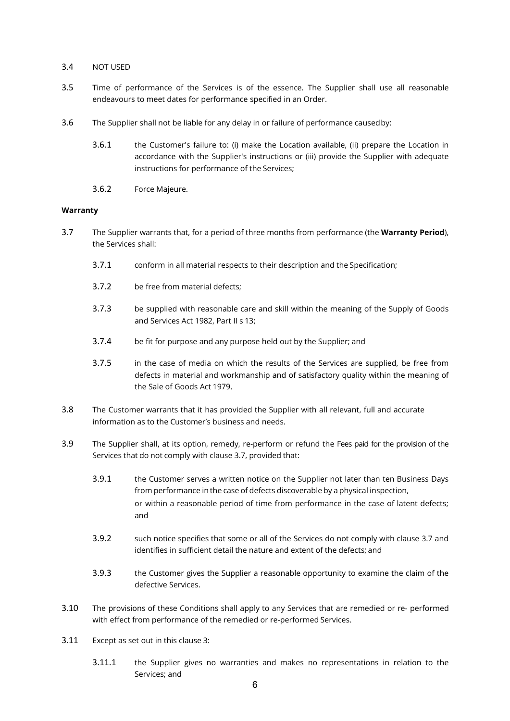### 3.4 NOT USED

- 3.5 Time of performance of the Services is of the essence. The Supplier shall use all reasonable endeavours to meet dates for performance specified in an Order.
- 3.6 The Supplier shall not be liable for any delay in or failure of performance caused by:
	- 3.6.1 the Customer's failure to: (i) make the Location available, (ii) prepare the Location in accordance with the Supplier's instructions or (iii) provide the Supplier with adequate instructions for performance of the Services;
	- 3.6.2 Force Majeure.

### **Warranty**

- 3.7 The Supplier warrants that, for a period of three months from performance (the Warranty Period), the Services shall:
	- 3.7.1 conform in all material respects to their description and the Specification;
	- 3.7.2 be free from material defects;
	- 3.7.3 be supplied with reasonable care and skill within the meaning of the Supply of Goods and Services Act 1982, Part II s 13;
	- 3.7.4 be fit for purpose and any purpose held out by the Supplier; and
	- 3.7.5 in the case of media on which the results of the Services are supplied, be free from defects in material and workmanship and of satisfactory quality within the meaning of the Sale of Goods Act 1979.
- 3.8 The Customer warrants that it has provided the Supplier with all relevant, full and accurate information as to the Customer's business and needs.
- 3.9 The Supplier shall, at its option, remedy, re-perform or refund the Fees paid for the provision of the Services that do not comply with clause 3.7, provided that:
	- 3.9.1 the Customer serves a written notice on the Supplier not later than ten Business Days from performance in the case of defects discoverable by a physical inspection, or within a reasonable period of time from performance in the case of latent defects; and
	- 3.9.2 such notice specifies that some or all of the Services do not comply with clause 3.7 and identifies in sufficient detail the nature and extent of the defects; and
	- 3.9.3 the Customer gives the Supplier a reasonable opportunity to examine the claim of the defective Services.
- 3.10 The provisions of these Conditions shall apply to any Services that are remedied or re- performed with effect from performance of the remedied or re-performed Services.
- 3.11 Except as set out in this clause 3:
	- 3.11.1 the Supplier gives no warranties and makes no representations in relation to the Services; and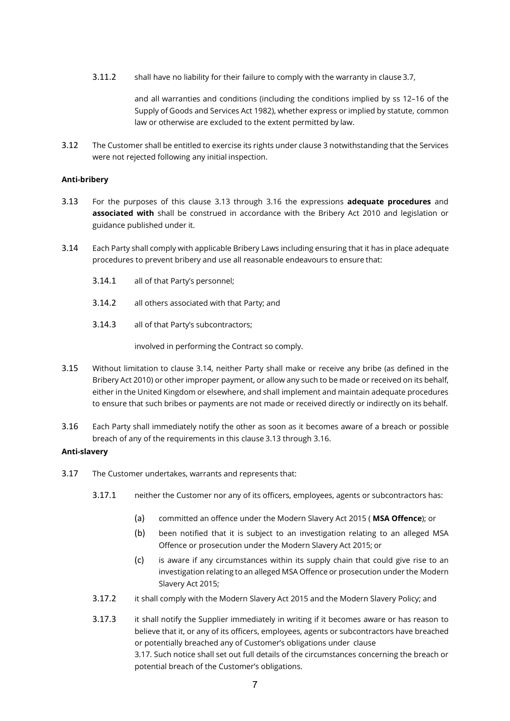3.11.2 shall have no liability for their failure to comply with the warranty in clause 3.7,

and all warranties and conditions (including the conditions implied by ss 12–16 of the Supply of Goods and Services Act 1982), whether express or implied by statute, common law or otherwise are excluded to the extent permitted by law.

3.12 The Customer shall be entitled to exercise its rights under clause 3 notwithstanding that the Services were not rejected following any initial inspection.

#### Anti-bribery

- 3.13 For the purposes of this clause 3.13 through 3.16 the expressions **adequate procedures** and associated with shall be construed in accordance with the Bribery Act 2010 and legislation or guidance published under it.
- 3.14 Each Party shall comply with applicable Bribery Laws including ensuring that it has in place adequate procedures to prevent bribery and use all reasonable endeavours to ensure that:
	- 3.14.1 all of that Party's personnel;
	- 3.14.2 all others associated with that Party; and
	- 3.14.3 all of that Party's subcontractors;

involved in performing the Contract so comply.

- 3.15 Without limitation to clause 3.14, neither Party shall make or receive any bribe (as defined in the Bribery Act 2010) or other improper payment, or allow any such to be made or received on its behalf, either in the United Kingdom or elsewhere, and shall implement and maintain adequate procedures to ensure that such bribes or payments are not made or received directly or indirectly on its behalf.
- 3.16 Each Party shall immediately notify the other as soon as it becomes aware of a breach or possible breach of any of the requirements in this clause 3.13 through 3.16.

#### Anti-slavery

- 3.17 The Customer undertakes, warrants and represents that:
	- 3.17.1 neither the Customer nor any of its officers, employees, agents or subcontractors has:
		- (a) committed an offence under the Modern Slavery Act 2015 ( MSA Offence); or
		- (b) been notified that it is subject to an investigation relating to an alleged MSA Offence or prosecution under the Modern Slavery Act 2015; or
		- (c) is aware if any circumstances within its supply chain that could give rise to an investigation relating to an alleged MSA Offence or prosecution under the Modern Slavery Act 2015;
	- 3.17.2 it shall comply with the Modern Slavery Act 2015 and the Modern Slavery Policy; and
	- 3.17.3 it shall notify the Supplier immediately in writing if it becomes aware or has reason to believe that it, or any of its officers, employees, agents or subcontractors have breached or potentially breached any of Customer's obligations under clause 3.17. Such notice shall set out full details of the circumstances concerning the breach or potential breach of the Customer's obligations.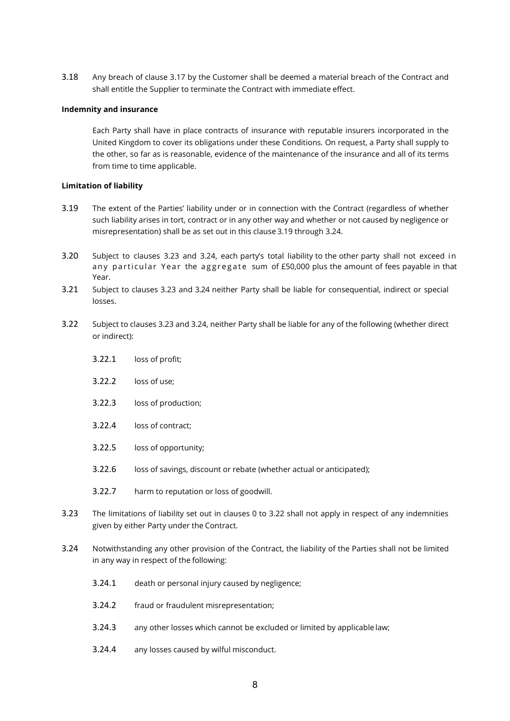3.18 Any breach of clause 3.17 by the Customer shall be deemed a material breach of the Contract and shall entitle the Supplier to terminate the Contract with immediate effect.

### Indemnity and insurance

Each Party shall have in place contracts of insurance with reputable insurers incorporated in the United Kingdom to cover its obligations under these Conditions. On request, a Party shall supply to the other, so far as is reasonable, evidence of the maintenance of the insurance and all of its terms from time to time applicable.

### Limitation of liability

- 3.19 The extent of the Parties' liability under or in connection with the Contract (regardless of whether such liability arises in tort, contract or in any other way and whether or not caused by negligence or misrepresentation) shall be as set out in this clause 3.19 through 3.24.
- 3.20 Subject to clauses 3.23 and 3.24, each party's total liability to the other party shall not exceed in any particular Year the aggregate sum of £50,000 plus the amount of fees payable in that Year.
- 3.21 Subject to clauses 3.23 and 3.24 neither Party shall be liable for consequential, indirect or special losses.
- 3.22 Subject to clauses 3.23 and 3.24, neither Party shall be liable for any of the following (whether direct or indirect):
	- 3.22.1 loss of profit;
	- 3.22.2 loss of use;
	- 3.22.3 loss of production;
	- 3.22.4 loss of contract;
	- 3.22.5 loss of opportunity;
	- 3.22.6 loss of savings, discount or rebate (whether actual or anticipated);
	- 3.22.7 harm to reputation or loss of goodwill.
- 3.23 The limitations of liability set out in clauses 0 to 3.22 shall not apply in respect of any indemnities given by either Party under the Contract.
- 3.24 Notwithstanding any other provision of the Contract, the liability of the Parties shall not be limited in any way in respect of the following:
	- 3.24.1 death or personal injury caused by negligence;
	- 3.24.2 fraud or fraudulent misrepresentation;
	- 3.24.3 any other losses which cannot be excluded or limited by applicable law;
	- 3.24.4 any losses caused by wilful misconduct.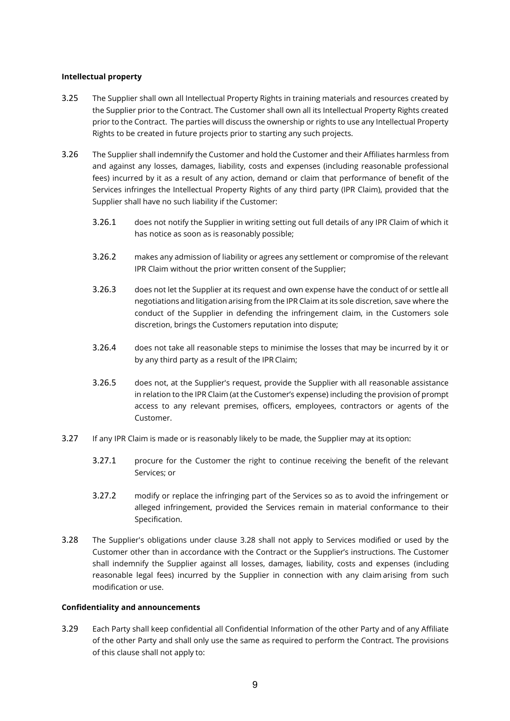### Intellectual property

- 3.25 The Supplier shall own all Intellectual Property Rights in training materials and resources created by the Supplier prior to the Contract. The Customer shall own all its Intellectual Property Rights created prior to the Contract. The parties will discuss the ownership or rights to use any Intellectual Property Rights to be created in future projects prior to starting any such projects.
- 3.26 The Supplier shall indemnify the Customer and hold the Customer and their Affiliates harmless from and against any losses, damages, liability, costs and expenses (including reasonable professional fees) incurred by it as a result of any action, demand or claim that performance of benefit of the Services infringes the Intellectual Property Rights of any third party (IPR Claim), provided that the Supplier shall have no such liability if the Customer:
	- 3.26.1 does not notify the Supplier in writing setting out full details of any IPR Claim of which it has notice as soon as is reasonably possible;
	- 3.26.2 makes any admission of liability or agrees any settlement or compromise of the relevant IPR Claim without the prior written consent of the Supplier;
	- 3.26.3 does not let the Supplier at its request and own expense have the conduct of or settle all negotiations and litigation arising from the IPR Claim at its sole discretion, save where the conduct of the Supplier in defending the infringement claim, in the Customers sole discretion, brings the Customers reputation into dispute;
	- 3.26.4 does not take all reasonable steps to minimise the losses that may be incurred by it or by any third party as a result of the IPR Claim;
	- 3.26.5 does not, at the Supplier's request, provide the Supplier with all reasonable assistance in relation to the IPR Claim (at the Customer's expense) including the provision of prompt access to any relevant premises, officers, employees, contractors or agents of the Customer.
- 3.27 If any IPR Claim is made or is reasonably likely to be made, the Supplier may at its option:
	- 3.27.1 procure for the Customer the right to continue receiving the benefit of the relevant Services; or
	- 3.27.2 modify or replace the infringing part of the Services so as to avoid the infringement or alleged infringement, provided the Services remain in material conformance to their Specification.
- 3.28 The Supplier's obligations under clause 3.28 shall not apply to Services modified or used by the Customer other than in accordance with the Contract or the Supplier's instructions. The Customer shall indemnify the Supplier against all losses, damages, liability, costs and expenses (including reasonable legal fees) incurred by the Supplier in connection with any claim arising from such modification or use.

#### Confidentiality and announcements

3.29 Each Party shall keep confidential all Confidential Information of the other Party and of any Affiliate of the other Party and shall only use the same as required to perform the Contract. The provisions of this clause shall not apply to: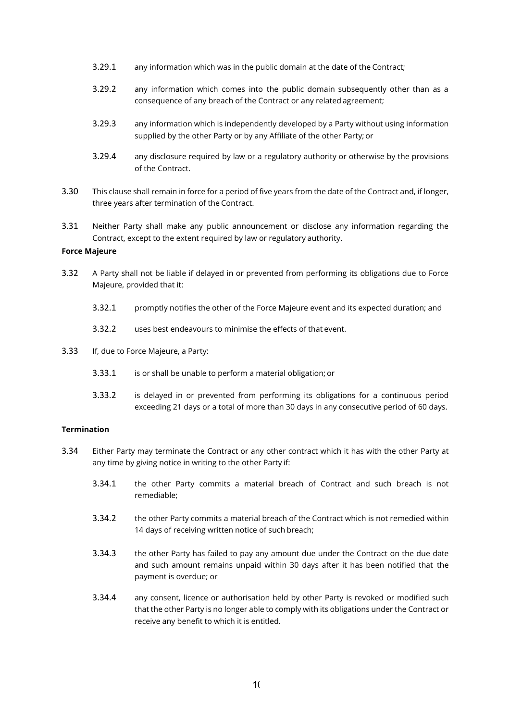- 3.29.1 any information which was in the public domain at the date of the Contract;
- 3.29.2 any information which comes into the public domain subsequently other than as a consequence of any breach of the Contract or any related agreement;
- 3.29.3 any information which is independently developed by a Party without using information supplied by the other Party or by any Affiliate of the other Party; or
- 3.29.4 any disclosure required by law or a regulatory authority or otherwise by the provisions of the Contract.
- 3.30 This clause shall remain in force for a period of five years from the date of the Contract and, if longer, three years after termination of the Contract.
- 3.31 Neither Party shall make any public announcement or disclose any information regarding the Contract, except to the extent required by law or regulatory authority.

### Force Majeure

- 3.32 A Party shall not be liable if delayed in or prevented from performing its obligations due to Force Majeure, provided that it:
	- 3.32.1 promptly notifies the other of the Force Majeure event and its expected duration; and
	- 3.32.2 uses best endeavours to minimise the effects of that event.
- 3.33 If, due to Force Majeure, a Party:
	- 3.33.1 is or shall be unable to perform a material obligation; or
	- 3.33.2 is delayed in or prevented from performing its obligations for a continuous period exceeding 21 days or a total of more than 30 days in any consecutive period of 60 days.

### Termination

- 3.34 Either Party may terminate the Contract or any other contract which it has with the other Party at any time by giving notice in writing to the other Party if:
	- 3.34.1 the other Party commits a material breach of Contract and such breach is not remediable;
	- 3.34.2 the other Party commits a material breach of the Contract which is not remedied within 14 days of receiving written notice of such breach;
	- 3.34.3 the other Party has failed to pay any amount due under the Contract on the due date and such amount remains unpaid within 30 days after it has been notified that the payment is overdue; or
	- 3.34.4 any consent, licence or authorisation held by other Party is revoked or modified such that the other Party is no longer able to comply with its obligations under the Contract or receive any benefit to which it is entitled.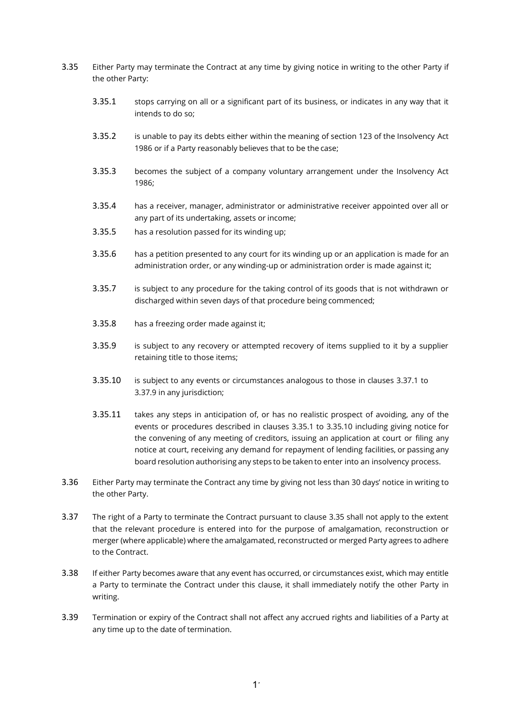- 3.35 Either Party may terminate the Contract at any time by giving notice in writing to the other Party if the other Party:
	- 3.35.1 stops carrying on all or a significant part of its business, or indicates in any way that it intends to do so;
	- 3.35.2 is unable to pay its debts either within the meaning of section 123 of the Insolvency Act 1986 or if a Party reasonably believes that to be the case;
	- 3.35.3 becomes the subject of a company voluntary arrangement under the Insolvency Act 1986;
	- 3.35.4 has a receiver, manager, administrator or administrative receiver appointed over all or any part of its undertaking, assets or income;
	- 3.35.5 has a resolution passed for its winding up;
	- 3.35.6 has a petition presented to any court for its winding up or an application is made for an administration order, or any winding-up or administration order is made against it;
	- 3.35.7 is subject to any procedure for the taking control of its goods that is not withdrawn or discharged within seven days of that procedure being commenced;
	- 3.35.8 has a freezing order made against it;
	- 3.35.9 is subject to any recovery or attempted recovery of items supplied to it by a supplier retaining title to those items;
	- 3.35.10 is subject to any events or circumstances analogous to those in clauses 3.37.1 to 3.37.9 in any jurisdiction;
	- 3.35.11 takes any steps in anticipation of, or has no realistic prospect of avoiding, any of the events or procedures described in clauses 3.35.1 to 3.35.10 including giving notice for the convening of any meeting of creditors, issuing an application at court or filing any notice at court, receiving any demand for repayment of lending facilities, or passing any board resolution authorising any steps to be taken to enter into an insolvency process.
- 3.36 Either Party may terminate the Contract any time by giving not less than 30 days' notice in writing to the other Party.
- 3.37 The right of a Party to terminate the Contract pursuant to clause 3.35 shall not apply to the extent that the relevant procedure is entered into for the purpose of amalgamation, reconstruction or merger (where applicable) where the amalgamated, reconstructed or merged Party agrees to adhere to the Contract.
- 3.38 If either Party becomes aware that any event has occurred, or circumstances exist, which may entitle a Party to terminate the Contract under this clause, it shall immediately notify the other Party in writing.
- 3.39 Termination or expiry of the Contract shall not affect any accrued rights and liabilities of a Party at any time up to the date of termination.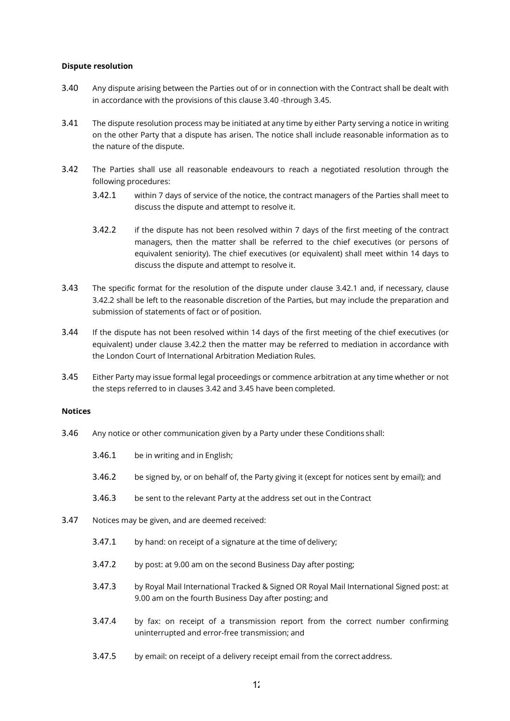#### Dispute resolution

- 3.40 Any dispute arising between the Parties out of or in connection with the Contract shall be dealt with in accordance with the provisions of this clause 3.40 -through 3.45.
- 3.41 The dispute resolution process may be initiated at any time by either Party serving a notice in writing on the other Party that a dispute has arisen. The notice shall include reasonable information as to the nature of the dispute.
- 3.42 The Parties shall use all reasonable endeavours to reach a negotiated resolution through the following procedures:
	- 3.42.1 within 7 days of service of the notice, the contract managers of the Parties shall meet to discuss the dispute and attempt to resolve it.
	- 3.42.2 if the dispute has not been resolved within 7 days of the first meeting of the contract managers, then the matter shall be referred to the chief executives (or persons of equivalent seniority). The chief executives (or equivalent) shall meet within 14 days to discuss the dispute and attempt to resolve it.
- 3.43 The specific format for the resolution of the dispute under clause 3.42.1 and, if necessary, clause 3.42.2 shall be left to the reasonable discretion of the Parties, but may include the preparation and submission of statements of fact or of position.
- 3.44 If the dispute has not been resolved within 14 days of the first meeting of the chief executives (or equivalent) under clause 3.42.2 then the matter may be referred to mediation in accordance with the London Court of International Arbitration Mediation Rules.
- 3.45 Either Party may issue formal legal proceedings or commence arbitration at any time whether or not the steps referred to in clauses 3.42 and 3.45 have been completed.

#### Notices

- 3.46 Any notice or other communication given by a Party under these Conditions shall:
	- 3.46.1 be in writing and in English;
	- 3.46.2 be signed by, or on behalf of, the Party giving it (except for notices sent by email); and
	- 3.46.3 be sent to the relevant Party at the address set out in the Contract
- 3.47 Notices may be given, and are deemed received:
	- 3.47.1 by hand: on receipt of a signature at the time of delivery;
	- 3.47.2 by post: at 9.00 am on the second Business Day after posting;
	- 3.47.3 by Royal Mail International Tracked & Signed OR Royal Mail International Signed post: at 9.00 am on the fourth Business Day after posting; and
	- 3.47.4 by fax: on receipt of a transmission report from the correct number confirming uninterrupted and error-free transmission; and
	- 3.47.5 by email: on receipt of a delivery receipt email from the correct address.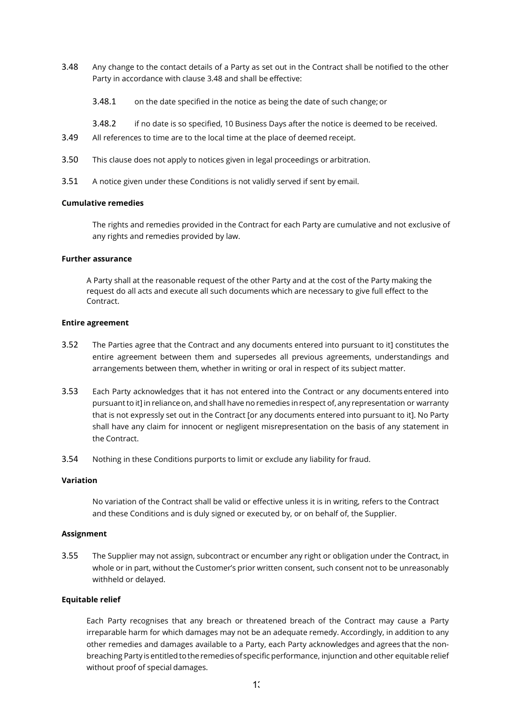- 3.48 Any change to the contact details of a Party as set out in the Contract shall be notified to the other Party in accordance with clause 3.48 and shall be effective:
	- 3.48.1 on the date specified in the notice as being the date of such change; or
	- 3.48.2 if no date is so specified, 10 Business Days after the notice is deemed to be received.
- 3.49 All references to time are to the local time at the place of deemed receipt.
- 3.50 This clause does not apply to notices given in legal proceedings or arbitration.
- 3.51 A notice given under these Conditions is not validly served if sent by email.

### Cumulative remedies

The rights and remedies provided in the Contract for each Party are cumulative and not exclusive of any rights and remedies provided by law.

#### Further assurance

A Party shall at the reasonable request of the other Party and at the cost of the Party making the request do all acts and execute all such documents which are necessary to give full effect to the Contract.

#### Entire agreement

- 3.52 The Parties agree that the Contract and any documents entered into pursuant to it] constitutes the entire agreement between them and supersedes all previous agreements, understandings and arrangements between them, whether in writing or oral in respect of its subject matter.
- 3.53 Each Party acknowledges that it has not entered into the Contract or any documents entered into pursuant to it] in reliance on, and shall have no remedies in respect of, any representation or warranty that is not expressly set out in the Contract [or any documents entered into pursuant to it]. No Party shall have any claim for innocent or negligent misrepresentation on the basis of any statement in the Contract.
- 3.54 Nothing in these Conditions purports to limit or exclude any liability for fraud.

#### Variation

No variation of the Contract shall be valid or effective unless it is in writing, refers to the Contract and these Conditions and is duly signed or executed by, or on behalf of, the Supplier.

### Assignment

3.55 The Supplier may not assign, subcontract or encumber any right or obligation under the Contract, in whole or in part, without the Customer's prior written consent, such consent not to be unreasonably withheld or delayed.

#### Equitable relief

Each Party recognises that any breach or threatened breach of the Contract may cause a Party irreparable harm for which damages may not be an adequate remedy. Accordingly, in addition to any other remedies and damages available to a Party, each Party acknowledges and agrees that the nonbreaching Party is entitled to the remedies of specific performance, injunction and other equitable relief without proof of special damages.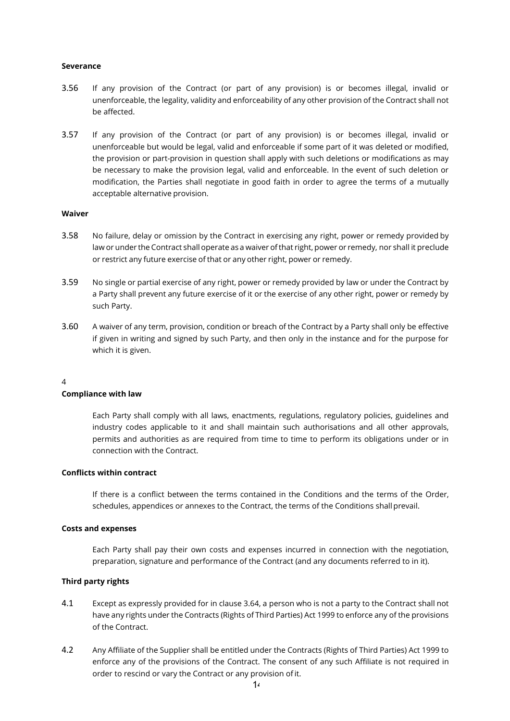#### Severance

- 3.56 If any provision of the Contract (or part of any provision) is or becomes illegal, invalid or unenforceable, the legality, validity and enforceability of any other provision of the Contract shall not be affected.
- 3.57 If any provision of the Contract (or part of any provision) is or becomes illegal, invalid or unenforceable but would be legal, valid and enforceable if some part of it was deleted or modified, the provision or part-provision in question shall apply with such deletions or modifications as may be necessary to make the provision legal, valid and enforceable. In the event of such deletion or modification, the Parties shall negotiate in good faith in order to agree the terms of a mutually acceptable alternative provision.

#### Waiver

- 3.58 No failure, delay or omission by the Contract in exercising any right, power or remedy provided by law or under the Contract shall operate as a waiver of that right, power or remedy, nor shall it preclude or restrict any future exercise of that or any other right, power or remedy.
- 3.59 No single or partial exercise of any right, power or remedy provided by law or under the Contract by a Party shall prevent any future exercise of it or the exercise of any other right, power or remedy by such Party.
- 3.60 A waiver of any term, provision, condition or breach of the Contract by a Party shall only be effective if given in writing and signed by such Party, and then only in the instance and for the purpose for which it is given.

#### 4

#### Compliance with law

Each Party shall comply with all laws, enactments, regulations, regulatory policies, guidelines and industry codes applicable to it and shall maintain such authorisations and all other approvals, permits and authorities as are required from time to time to perform its obligations under or in connection with the Contract.

### Conflicts within contract

If there is a conflict between the terms contained in the Conditions and the terms of the Order, schedules, appendices or annexes to the Contract, the terms of the Conditions shall prevail.

#### Costs and expenses

Each Party shall pay their own costs and expenses incurred in connection with the negotiation, preparation, signature and performance of the Contract (and any documents referred to in it).

#### Third party rights

- 4.1 Except as expressly provided for in clause 3.64, a person who is not a party to the Contract shall not have any rights under the Contracts (Rights of Third Parties) Act 1999 to enforce any of the provisions of the Contract.
- 4.2 Any Affiliate of the Supplier shall be entitled under the Contracts (Rights of Third Parties) Act 1999 to enforce any of the provisions of the Contract. The consent of any such Affiliate is not required in order to rescind or vary the Contract or any provision of it.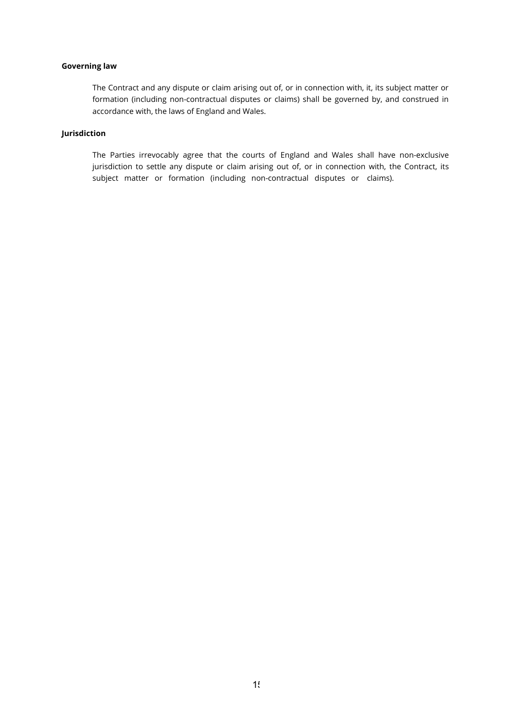### Governing law

The Contract and any dispute or claim arising out of, or in connection with, it, its subject matter or formation (including non-contractual disputes or claims) shall be governed by, and construed in accordance with, the laws of England and Wales.

### Jurisdiction

The Parties irrevocably agree that the courts of England and Wales shall have non-exclusive jurisdiction to settle any dispute or claim arising out of, or in connection with, the Contract, its subject matter or formation (including non-contractual disputes or claims).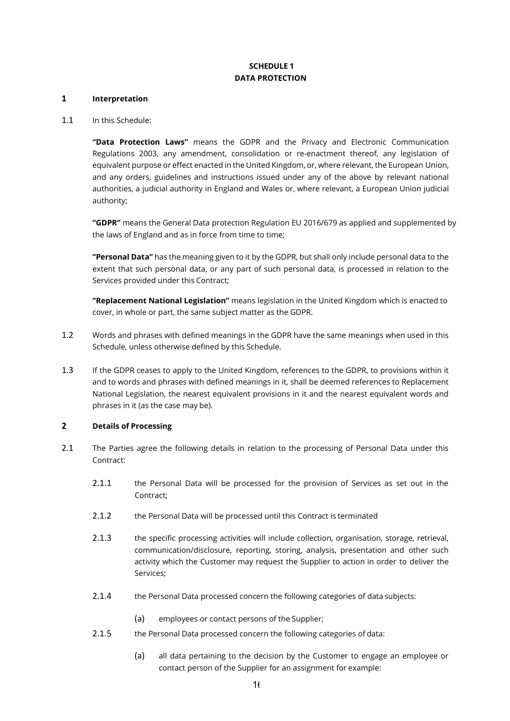# SCHEDULE 1 DATA PROTECTION

#### 1 Interpretation

### 1.1 In this Schedule:

"Data Protection Laws" means the GDPR and the Privacy and Electronic Communication Regulations 2003, any amendment, consolidation or re-enactment thereof, any legislation of equivalent purpose or effect enacted in the United Kingdom, or, where relevant, the European Union, and any orders, guidelines and instructions issued under any of the above by relevant national authorities, a judicial authority in England and Wales or, where relevant, a European Union judicial authority;

"GDPR" means the General Data protection Regulation EU 2016/679 as applied and supplemented by the laws of England and as in force from time to time;

"Personal Data" has the meaning given to it by the GDPR, but shall only include personal data to the extent that such personal data, or any part of such personal data, is processed in relation to the Services provided under this Contract;

"Replacement National Legislation" means legislation in the United Kingdom which is enacted to cover, in whole or part, the same subject matter as the GDPR.

- 1.2 Words and phrases with defined meanings in the GDPR have the same meanings when used in this Schedule, unless otherwise defined by this Schedule.
- 1.3 If the GDPR ceases to apply to the United Kingdom, references to the GDPR, to provisions within it and to words and phrases with defined meanings in it, shall be deemed references to Replacement National Legislation, the nearest equivalent provisions in it and the nearest equivalent words and phrases in it (as the case may be).

# 2 Details of Processing

- 2.1 The Parties agree the following details in relation to the processing of Personal Data under this Contract:
	- 2.1.1 the Personal Data will be processed for the provision of Services as set out in the Contract;
	- 2.1.2 the Personal Data will be processed until this Contract is terminated
	- 2.1.3 the specific processing activities will include collection, organisation, storage, retrieval, communication/disclosure, reporting, storing, analysis, presentation and other such activity which the Customer may request the Supplier to action in order to deliver the Services;
	- 2.1.4 the Personal Data processed concern the following categories of data subjects:
		- (a) employees or contact persons of the Supplier;
	- 2.1.5 the Personal Data processed concern the following categories of data:
		- (a) all data pertaining to the decision by the Customer to engage an employee or contact person of the Supplier for an assignment for example: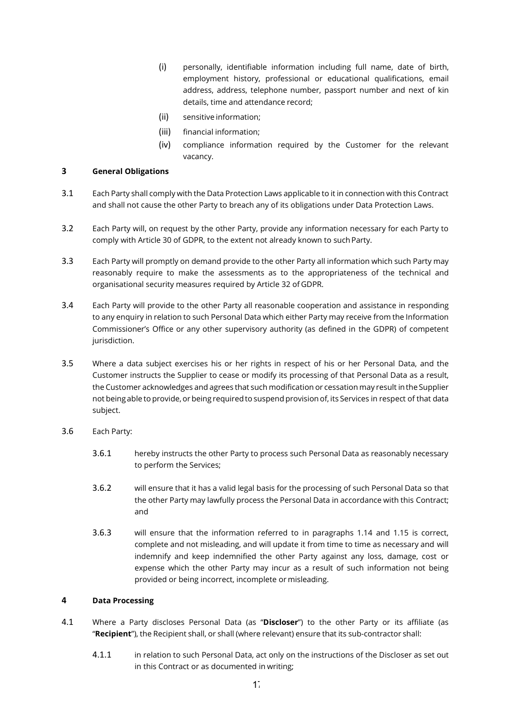- (i) personally, identifiable information including full name, date of birth, employment history, professional or educational qualifications, email address, address, telephone number, passport number and next of kin details, time and attendance record;
- (ii) sensitive information;
- (iii) financial information;
- (iv) compliance information required by the Customer for the relevant vacancy.

### 3 General Obligations

- 3.1 Each Party shall comply with the Data Protection Laws applicable to it in connection with this Contract and shall not cause the other Party to breach any of its obligations under Data Protection Laws.
- 3.2 Each Party will, on request by the other Party, provide any information necessary for each Party to comply with Article 30 of GDPR, to the extent not already known to such Party.
- 3.3 Each Party will promptly on demand provide to the other Party all information which such Party may reasonably require to make the assessments as to the appropriateness of the technical and organisational security measures required by Article 32 of GDPR.
- 3.4 Each Party will provide to the other Party all reasonable cooperation and assistance in responding to any enquiry in relation to such Personal Data which either Party may receive from the Information Commissioner's Office or any other supervisory authority (as defined in the GDPR) of competent jurisdiction.
- 3.5 Where a data subject exercises his or her rights in respect of his or her Personal Data, and the Customer instructs the Supplier to cease or modify its processing of that Personal Data as a result, the Customer acknowledges and agrees that such modification or cessation may result in the Supplier not being able to provide, or being required to suspend provision of, its Services in respect of that data subject.
- 3.6 Each Party:
	- 3.6.1 hereby instructs the other Party to process such Personal Data as reasonably necessary to perform the Services;
	- 3.6.2 will ensure that it has a valid legal basis for the processing of such Personal Data so that the other Party may lawfully process the Personal Data in accordance with this Contract; and
	- 3.6.3 will ensure that the information referred to in paragraphs 1.14 and 1.15 is correct, complete and not misleading, and will update it from time to time as necessary and will indemnify and keep indemnified the other Party against any loss, damage, cost or expense which the other Party may incur as a result of such information not being provided or being incorrect, incomplete or misleading.

# 4 Data Processing

- 4.1 Where a Party discloses Personal Data (as "Discloser") to the other Party or its affiliate (as "Recipient"), the Recipient shall, or shall (where relevant) ensure that its sub-contractor shall:
	- 4.1.1 in relation to such Personal Data, act only on the instructions of the Discloser as set out in this Contract or as documented in writing;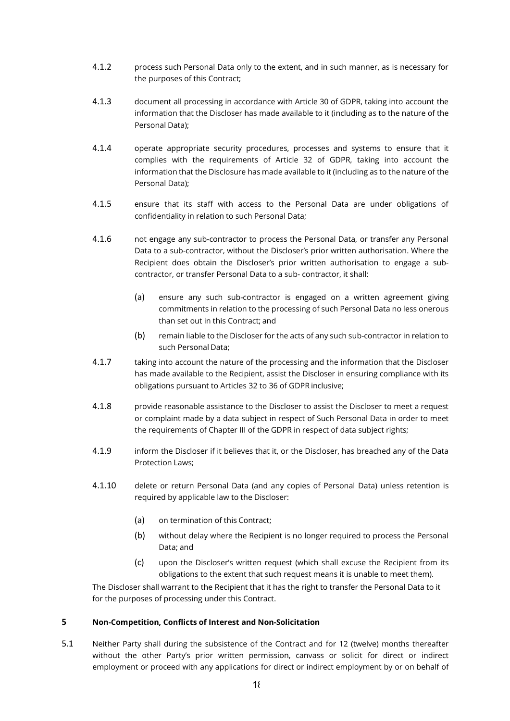- 4.1.2 process such Personal Data only to the extent, and in such manner, as is necessary for the purposes of this Contract;
- 4.1.3 document all processing in accordance with Article 30 of GDPR, taking into account the information that the Discloser has made available to it (including as to the nature of the Personal Data);
- 4.1.4 operate appropriate security procedures, processes and systems to ensure that it complies with the requirements of Article 32 of GDPR, taking into account the information that the Disclosure has made available to it (including as to the nature of the Personal Data);
- 4.1.5 ensure that its staff with access to the Personal Data are under obligations of confidentiality in relation to such Personal Data;
- 4.1.6 not engage any sub-contractor to process the Personal Data, or transfer any Personal Data to a sub-contractor, without the Discloser's prior written authorisation. Where the Recipient does obtain the Discloser's prior written authorisation to engage a subcontractor, or transfer Personal Data to a sub- contractor, it shall:
	- (a) ensure any such sub-contractor is engaged on a written agreement giving commitments in relation to the processing of such Personal Data no less onerous than set out in this Contract; and
	- (b) remain liable to the Discloser for the acts of any such sub-contractor in relation to such Personal Data;
- 4.1.7 taking into account the nature of the processing and the information that the Discloser has made available to the Recipient, assist the Discloser in ensuring compliance with its obligations pursuant to Articles 32 to 36 of GDPR inclusive;
- 4.1.8 provide reasonable assistance to the Discloser to assist the Discloser to meet a request or complaint made by a data subject in respect of Such Personal Data in order to meet the requirements of Chapter III of the GDPR in respect of data subject rights;
- 4.1.9 inform the Discloser if it believes that it, or the Discloser, has breached any of the Data Protection Laws;
- 4.1.10 delete or return Personal Data (and any copies of Personal Data) unless retention is required by applicable law to the Discloser:
	- (a) on termination of this Contract;
	- (b) without delay where the Recipient is no longer required to process the Personal Data; and
	- (c) upon the Discloser's written request (which shall excuse the Recipient from its obligations to the extent that such request means it is unable to meet them).

The Discloser shall warrant to the Recipient that it has the right to transfer the Personal Data to it for the purposes of processing under this Contract.

### 5 Non-Competition, Conflicts of Interest and Non-Solicitation

5.1 Neither Party shall during the subsistence of the Contract and for 12 (twelve) months thereafter without the other Party's prior written permission, canvass or solicit for direct or indirect employment or proceed with any applications for direct or indirect employment by or on behalf of